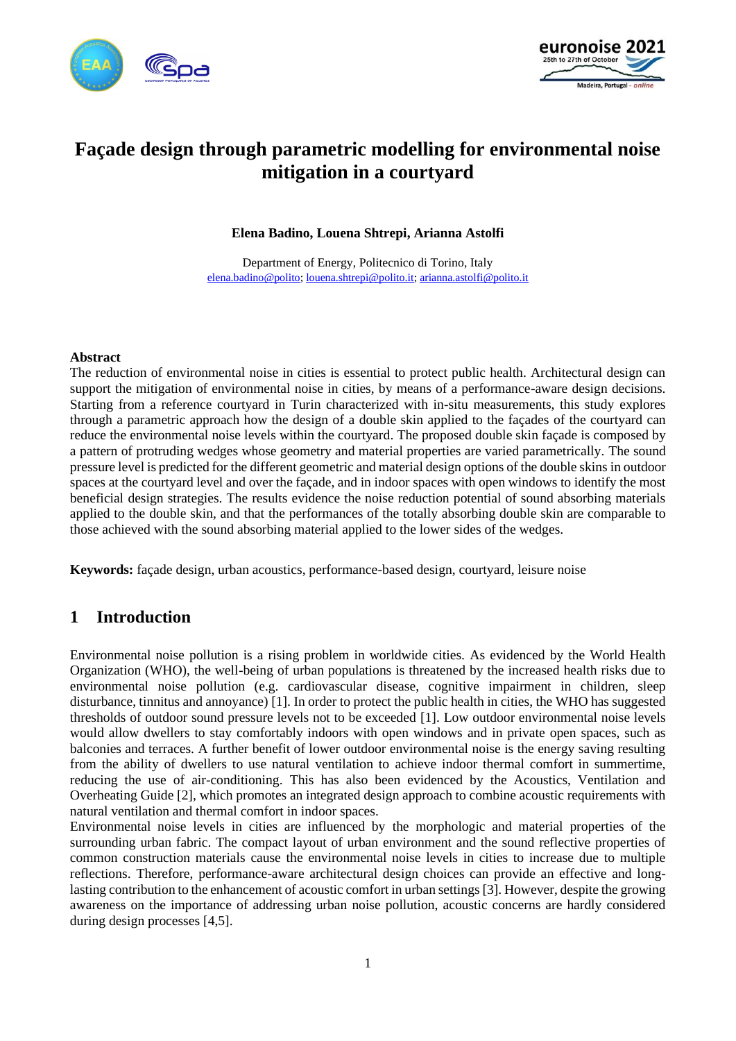



# **Façade design through parametric modelling for environmental noise mitigation in a courtyard**

**Elena Badino, Louena Shtrepi, Arianna Astolfi**

Department of Energy, Politecnico di Torino, Italy [elena.badino@polito;](mailto:elena.badino@polito) [louena.shtrepi@polito.it;](mailto:louena.shtrepi@polito.it) [arianna.astolfi@polito.it](mailto:arianna.astolfi@polito.it)

#### **Abstract**

The reduction of environmental noise in cities is essential to protect public health. Architectural design can support the mitigation of environmental noise in cities, by means of a performance-aware design decisions. Starting from a reference courtyard in Turin characterized with in-situ measurements, this study explores through a parametric approach how the design of a double skin applied to the façades of the courtyard can reduce the environmental noise levels within the courtyard. The proposed double skin façade is composed by a pattern of protruding wedges whose geometry and material properties are varied parametrically. The sound pressure level is predicted for the different geometric and material design options of the double skins in outdoor spaces at the courtyard level and over the façade, and in indoor spaces with open windows to identify the most beneficial design strategies. The results evidence the noise reduction potential of sound absorbing materials applied to the double skin, and that the performances of the totally absorbing double skin are comparable to those achieved with the sound absorbing material applied to the lower sides of the wedges.

**Keywords:** façade design, urban acoustics, performance-based design, courtyard, leisure noise

## **1 Introduction**

Environmental noise pollution is a rising problem in worldwide cities. As evidenced by the World Health Organization (WHO), the well-being of urban populations is threatened by the increased health risks due to environmental noise pollution (e.g. cardiovascular disease, cognitive impairment in children, sleep disturbance, tinnitus and annoyance) [1]. In order to protect the public health in cities, the WHO has suggested thresholds of outdoor sound pressure levels not to be exceeded [1]. Low outdoor environmental noise levels would allow dwellers to stay comfortably indoors with open windows and in private open spaces, such as balconies and terraces. A further benefit of lower outdoor environmental noise is the energy saving resulting from the ability of dwellers to use natural ventilation to achieve indoor thermal comfort in summertime, reducing the use of air-conditioning. This has also been evidenced by the Acoustics, Ventilation and Overheating Guide [2], which promotes an integrated design approach to combine acoustic requirements with natural ventilation and thermal comfort in indoor spaces.

Environmental noise levels in cities are influenced by the morphologic and material properties of the surrounding urban fabric. The compact layout of urban environment and the sound reflective properties of common construction materials cause the environmental noise levels in cities to increase due to multiple reflections. Therefore, performance-aware architectural design choices can provide an effective and longlasting contribution to the enhancement of acoustic comfort in urban settings [3]. However, despite the growing awareness on the importance of addressing urban noise pollution, acoustic concerns are hardly considered during design processes [4,5].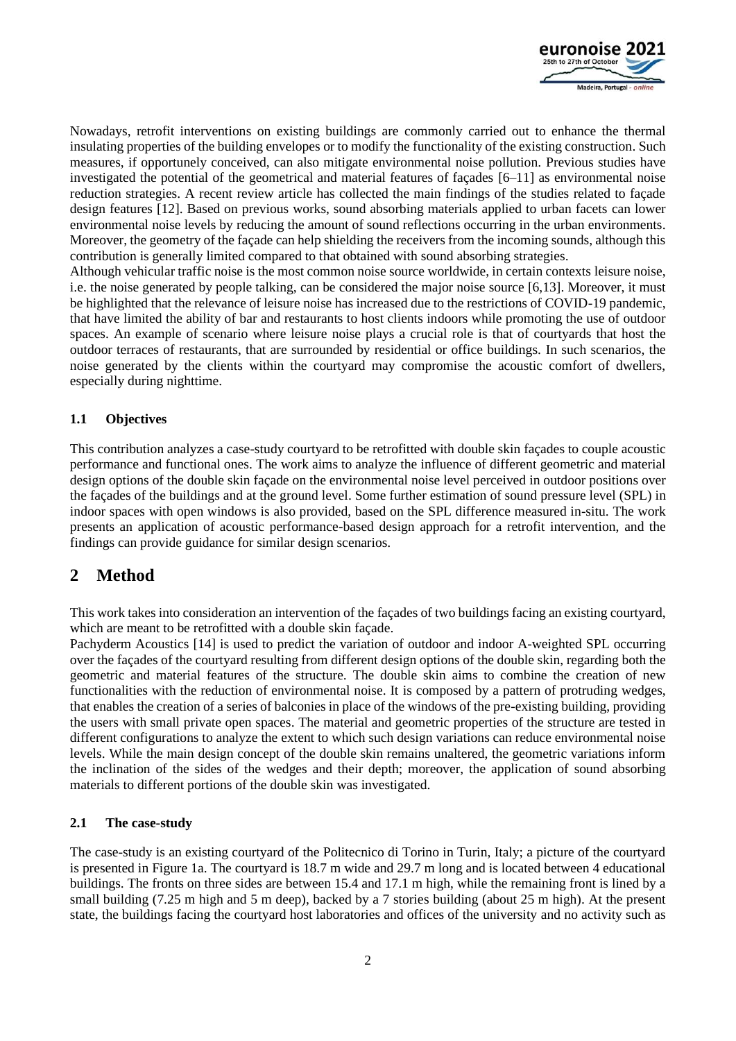

Nowadays, retrofit interventions on existing buildings are commonly carried out to enhance the thermal insulating properties of the building envelopes or to modify the functionality of the existing construction. Such measures, if opportunely conceived, can also mitigate environmental noise pollution. Previous studies have investigated the potential of the geometrical and material features of façades [6–11] as environmental noise reduction strategies. A recent review article has collected the main findings of the studies related to façade design features [12]. Based on previous works, sound absorbing materials applied to urban facets can lower environmental noise levels by reducing the amount of sound reflections occurring in the urban environments. Moreover, the geometry of the façade can help shielding the receivers from the incoming sounds, although this contribution is generally limited compared to that obtained with sound absorbing strategies.

Although vehicular traffic noise is the most common noise source worldwide, in certain contexts leisure noise, i.e. the noise generated by people talking, can be considered the major noise source [6,13]. Moreover, it must be highlighted that the relevance of leisure noise has increased due to the restrictions of COVID-19 pandemic, that have limited the ability of bar and restaurants to host clients indoors while promoting the use of outdoor spaces. An example of scenario where leisure noise plays a crucial role is that of courtyards that host the outdoor terraces of restaurants, that are surrounded by residential or office buildings. In such scenarios, the noise generated by the clients within the courtyard may compromise the acoustic comfort of dwellers, especially during nighttime.

### **1.1 Objectives**

This contribution analyzes a case-study courtyard to be retrofitted with double skin façades to couple acoustic performance and functional ones. The work aims to analyze the influence of different geometric and material design options of the double skin façade on the environmental noise level perceived in outdoor positions over the façades of the buildings and at the ground level. Some further estimation of sound pressure level (SPL) in indoor spaces with open windows is also provided, based on the SPL difference measured in-situ. The work presents an application of acoustic performance-based design approach for a retrofit intervention, and the findings can provide guidance for similar design scenarios.

## **2 Method**

This work takes into consideration an intervention of the façades of two buildings facing an existing courtyard, which are meant to be retrofitted with a double skin façade.

Pachyderm Acoustics [14] is used to predict the variation of outdoor and indoor A-weighted SPL occurring over the façades of the courtyard resulting from different design options of the double skin, regarding both the geometric and material features of the structure. The double skin aims to combine the creation of new functionalities with the reduction of environmental noise. It is composed by a pattern of protruding wedges, that enables the creation of a series of balconies in place of the windows of the pre-existing building, providing the users with small private open spaces. The material and geometric properties of the structure are tested in different configurations to analyze the extent to which such design variations can reduce environmental noise levels. While the main design concept of the double skin remains unaltered, the geometric variations inform the inclination of the sides of the wedges and their depth; moreover, the application of sound absorbing materials to different portions of the double skin was investigated.

### **2.1 The case-study**

The case-study is an existing courtyard of the Politecnico di Torino in Turin, Italy; a picture of the courtyard is presented in Figure 1a. The courtyard is 18.7 m wide and 29.7 m long and is located between 4 educational buildings. The fronts on three sides are between 15.4 and 17.1 m high, while the remaining front is lined by a small building (7.25 m high and 5 m deep), backed by a 7 stories building (about 25 m high). At the present state, the buildings facing the courtyard host laboratories and offices of the university and no activity such as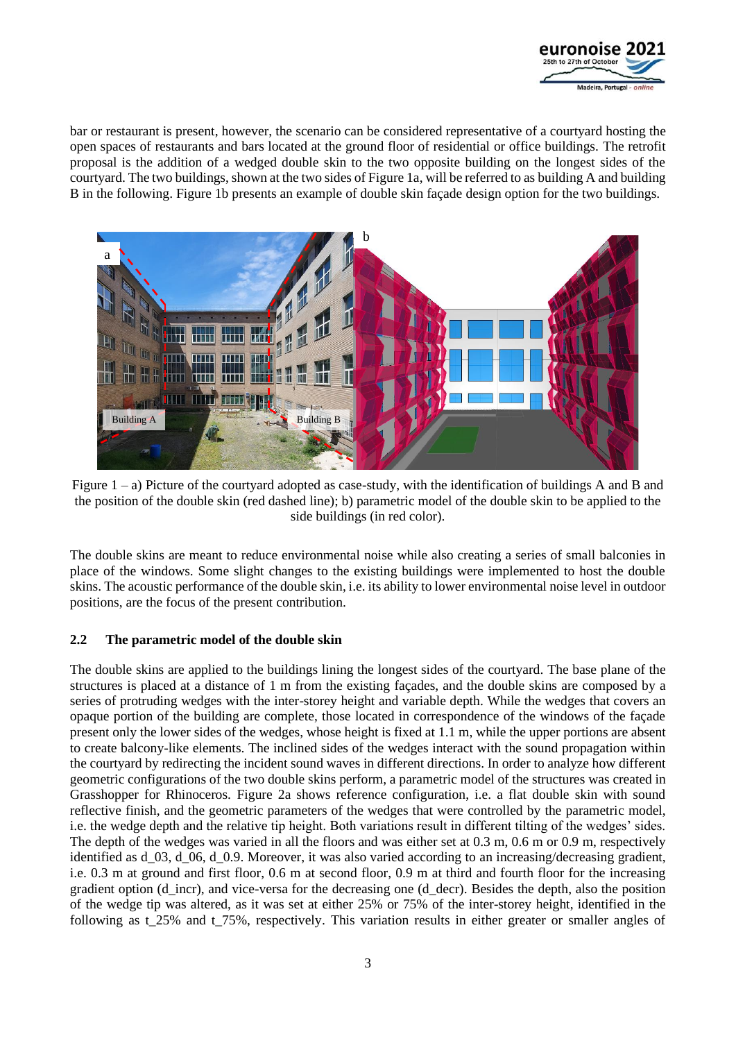

bar or restaurant is present, however, the scenario can be considered representative of a courtyard hosting the open spaces of restaurants and bars located at the ground floor of residential or office buildings. The retrofit proposal is the addition of a wedged double skin to the two opposite building on the longest sides of the courtyard. The two buildings, shown at the two sides of Figure 1a, will be referred to as building A and building B in the following. Figure 1b presents an example of double skin façade design option for the two buildings.



Figure  $1 - a$ ) Picture of the courtvard adopted as case-study, with the identification of buildings A and B and the position of the double skin (red dashed line); b) parametric model of the double skin to be applied to the side buildings (in red color).

The double skins are meant to reduce environmental noise while also creating a series of small balconies in place of the windows. Some slight changes to the existing buildings were implemented to host the double skins. The acoustic performance of the double skin, i.e. its ability to lower environmental noise level in outdoor positions, are the focus of the present contribution.

### **2.2 The parametric model of the double skin**

The double skins are applied to the buildings lining the longest sides of the courtyard. The base plane of the structures is placed at a distance of 1 m from the existing façades, and the double skins are composed by a series of protruding wedges with the inter-storey height and variable depth. While the wedges that covers an opaque portion of the building are complete, those located in correspondence of the windows of the façade present only the lower sides of the wedges, whose height is fixed at 1.1 m, while the upper portions are absent to create balcony-like elements. The inclined sides of the wedges interact with the sound propagation within the courtyard by redirecting the incident sound waves in different directions. In order to analyze how different geometric configurations of the two double skins perform, a parametric model of the structures was created in Grasshopper for Rhinoceros. Figure 2a shows reference configuration, i.e. a flat double skin with sound reflective finish, and the geometric parameters of the wedges that were controlled by the parametric model, i.e. the wedge depth and the relative tip height. Both variations result in different tilting of the wedges' sides. The depth of the wedges was varied in all the floors and was either set at 0.3 m, 0.6 m or 0.9 m, respectively identified as d\_03, d\_06, d\_0.9. Moreover, it was also varied according to an increasing/decreasing gradient, i.e. 0.3 m at ground and first floor, 0.6 m at second floor, 0.9 m at third and fourth floor for the increasing gradient option (d\_incr), and vice-versa for the decreasing one (d\_decr). Besides the depth, also the position of the wedge tip was altered, as it was set at either 25% or 75% of the inter-storey height, identified in the following as t 25% and t 75%, respectively. This variation results in either greater or smaller angles of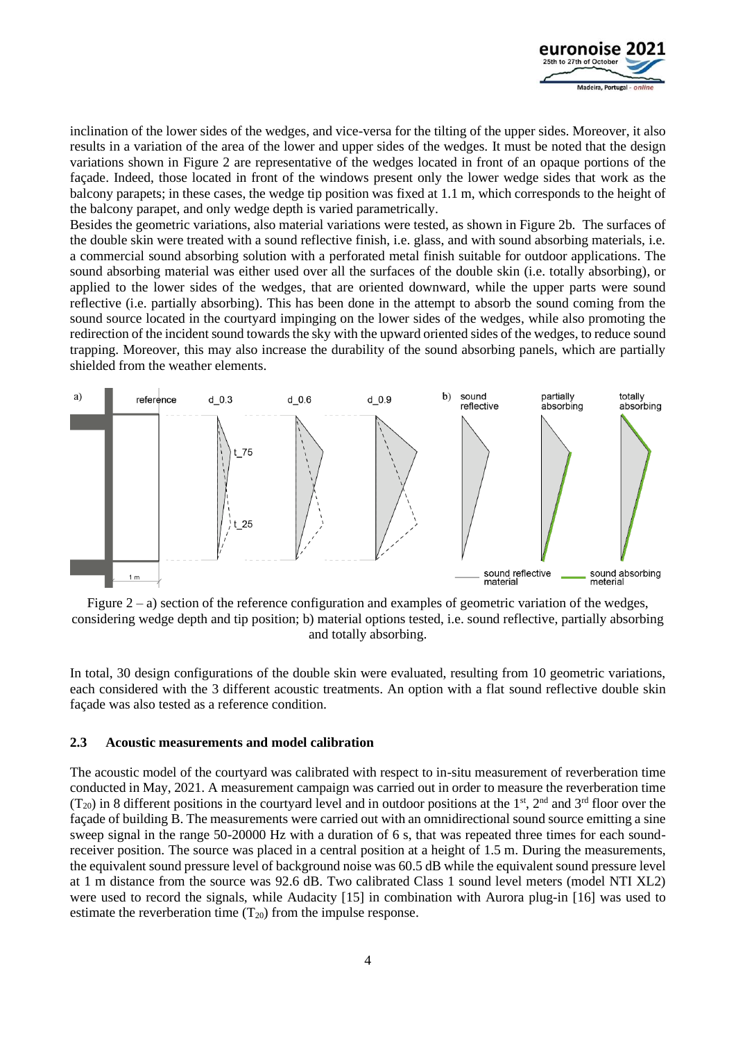

inclination of the lower sides of the wedges, and vice-versa for the tilting of the upper sides. Moreover, it also results in a variation of the area of the lower and upper sides of the wedges. It must be noted that the design variations shown in Figure 2 are representative of the wedges located in front of an opaque portions of the façade. Indeed, those located in front of the windows present only the lower wedge sides that work as the balcony parapets; in these cases, the wedge tip position was fixed at 1.1 m, which corresponds to the height of the balcony parapet, and only wedge depth is varied parametrically.

Besides the geometric variations, also material variations were tested, as shown in Figure 2b. The surfaces of the double skin were treated with a sound reflective finish, i.e. glass, and with sound absorbing materials, i.e. a commercial sound absorbing solution with a perforated metal finish suitable for outdoor applications. The sound absorbing material was either used over all the surfaces of the double skin (i.e. totally absorbing), or applied to the lower sides of the wedges, that are oriented downward, while the upper parts were sound reflective (i.e. partially absorbing). This has been done in the attempt to absorb the sound coming from the sound source located in the courtyard impinging on the lower sides of the wedges, while also promoting the redirection of the incident sound towards the sky with the upward oriented sides of the wedges, to reduce sound trapping. Moreover, this may also increase the durability of the sound absorbing panels, which are partially shielded from the weather elements.



Figure  $2 - a$ ) section of the reference configuration and examples of geometric variation of the wedges, considering wedge depth and tip position; b) material options tested, i.e. sound reflective, partially absorbing and totally absorbing.

In total, 30 design configurations of the double skin were evaluated, resulting from 10 geometric variations, each considered with the 3 different acoustic treatments. An option with a flat sound reflective double skin façade was also tested as a reference condition.

#### **2.3 Acoustic measurements and model calibration**

The acoustic model of the courtyard was calibrated with respect to in-situ measurement of reverberation time conducted in May, 2021. A measurement campaign was carried out in order to measure the reverberation time  $(T_{20})$  in 8 different positions in the courtyard level and in outdoor positions at the 1<sup>st</sup>, 2<sup>nd</sup> and 3<sup>rd</sup> floor over the façade of building B. The measurements were carried out with an omnidirectional sound source emitting a sine sweep signal in the range 50-20000 Hz with a duration of 6 s, that was repeated three times for each soundreceiver position. The source was placed in a central position at a height of 1.5 m. During the measurements, the equivalent sound pressure level of background noise was 60.5 dB while the equivalent sound pressure level at 1 m distance from the source was 92.6 dB. Two calibrated Class 1 sound level meters (model NTI XL2) were used to record the signals, while Audacity [15] in combination with Aurora plug-in [16] was used to estimate the reverberation time  $(T_{20})$  from the impulse response.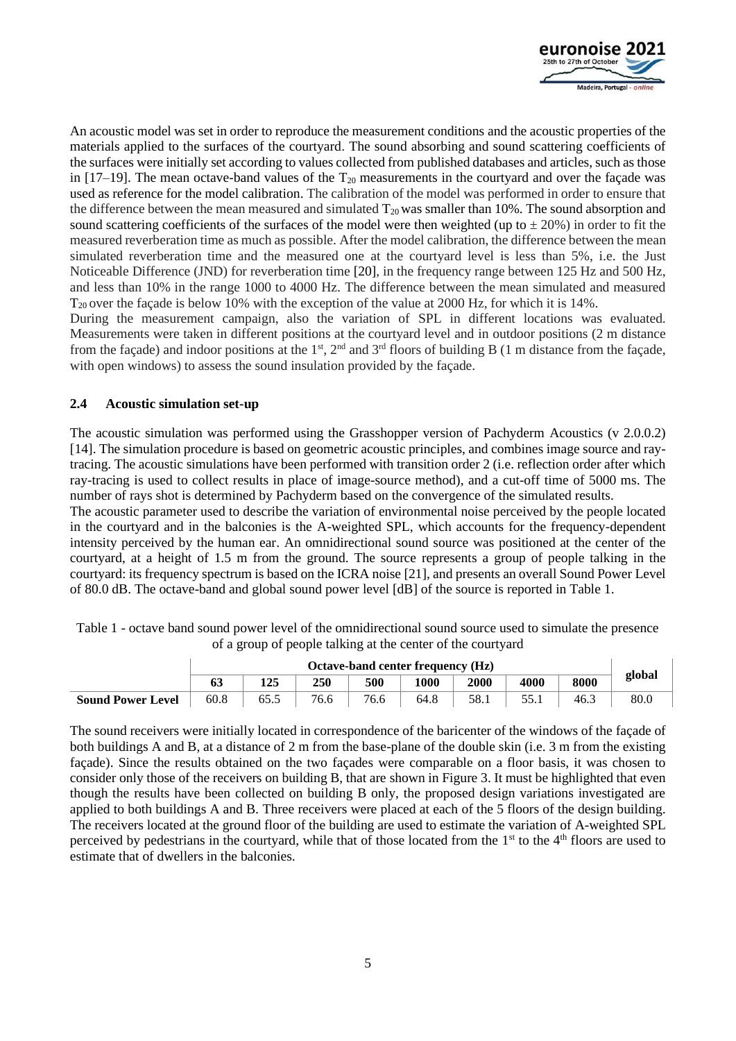

An acoustic model was set in order to reproduce the measurement conditions and the acoustic properties of the materials applied to the surfaces of the courtyard. The sound absorbing and sound scattering coefficients of the surfaces were initially set according to values collected from published databases and articles, such as those in  $[17–19]$ . The mean octave-band values of the  $T_{20}$  measurements in the courtyard and over the façade was used as reference for the model calibration. The calibration of the model was performed in order to ensure that the difference between the mean measured and simulated  $T_{20}$  was smaller than 10%. The sound absorption and sound scattering coefficients of the surfaces of the model were then weighted (up to  $\pm$  20%) in order to fit the measured reverberation time as much as possible. After the model calibration, the difference between the mean simulated reverberation time and the measured one at the courtyard level is less than 5%, i.e. the Just Noticeable Difference (JND) for reverberation time [20], in the frequency range between 125 Hz and 500 Hz, and less than 10% in the range 1000 to 4000 Hz. The difference between the mean simulated and measured T20 over the façade is below 10% with the exception of the value at 2000 Hz, for which it is 14%.

During the measurement campaign, also the variation of SPL in different locations was evaluated. Measurements were taken in different positions at the courtyard level and in outdoor positions (2 m distance from the façade) and indoor positions at the  $1<sup>st</sup>$ ,  $2<sup>nd</sup>$  and  $3<sup>rd</sup>$  floors of building B (1 m distance from the façade, with open windows) to assess the sound insulation provided by the façade.

### **2.4 Acoustic simulation set-up**

The acoustic simulation was performed using the Grasshopper version of Pachyderm Acoustics (v 2.0.0.2) [14]. The simulation procedure is based on geometric acoustic principles, and combines image source and raytracing. The acoustic simulations have been performed with transition order 2 (i.e. reflection order after which ray-tracing is used to collect results in place of image-source method), and a cut-off time of 5000 ms. The number of rays shot is determined by Pachyderm based on the convergence of the simulated results.

The acoustic parameter used to describe the variation of environmental noise perceived by the people located in the courtyard and in the balconies is the A-weighted SPL, which accounts for the frequency-dependent intensity perceived by the human ear. An omnidirectional sound source was positioned at the center of the courtyard, at a height of 1.5 m from the ground. The source represents a group of people talking in the courtyard: its frequency spectrum is based on the ICRA noise [21], and presents an overall Sound Power Level of 80.0 dB. The octave-band and global sound power level [dB] of the source is reported in Table 1.

|                          | <b>Octave-band center frequency (Hz)</b> |     |      |      |      |      |      |      |        |  |
|--------------------------|------------------------------------------|-----|------|------|------|------|------|------|--------|--|
|                          | 63                                       | 125 | 250  | 500  | 1000 | 2000 | 4000 | 8000 | global |  |
| <b>Sound Power Level</b> | 60.8                                     |     | 76.6 | 76.6 | 64.8 | 58.1 |      | 46.3 | 80.0   |  |

Table 1 - octave band sound power level of the omnidirectional sound source used to simulate the presence of a group of people talking at the center of the courtyard

The sound receivers were initially located in correspondence of the baricenter of the windows of the façade of both buildings A and B, at a distance of 2 m from the base-plane of the double skin (i.e. 3 m from the existing façade). Since the results obtained on the two façades were comparable on a floor basis, it was chosen to consider only those of the receivers on building B, that are shown in Figure 3. It must be highlighted that even though the results have been collected on building B only, the proposed design variations investigated are applied to both buildings A and B. Three receivers were placed at each of the 5 floors of the design building. The receivers located at the ground floor of the building are used to estimate the variation of A-weighted SPL perceived by pedestrians in the courtyard, while that of those located from the 1<sup>st</sup> to the 4<sup>th</sup> floors are used to estimate that of dwellers in the balconies.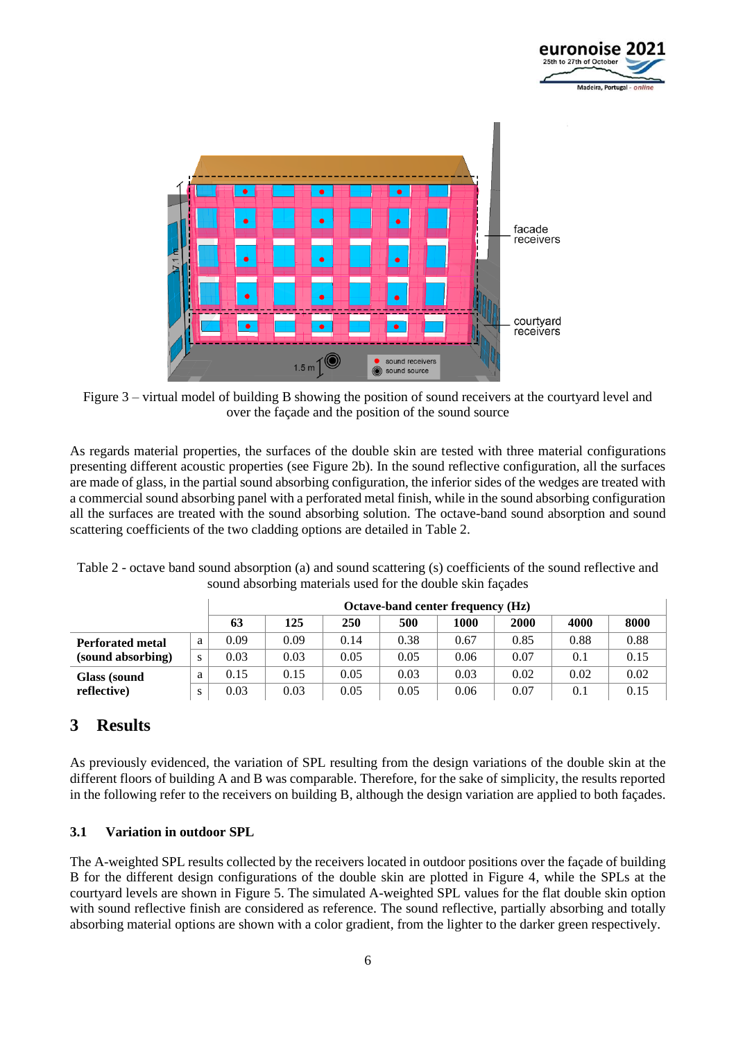



Figure 3 – virtual model of building B showing the position of sound receivers at the courtyard level and over the façade and the position of the sound source

As regards material properties, the surfaces of the double skin are tested with three material configurations presenting different acoustic properties (see Figure 2b). In the sound reflective configuration, all the surfaces are made of glass, in the partial sound absorbing configuration, the inferior sides of the wedges are treated with a commercial sound absorbing panel with a perforated metal finish, while in the sound absorbing configuration all the surfaces are treated with the sound absorbing solution. The octave-band sound absorption and sound scattering coefficients of the two cladding options are detailed in Table 2.

|                         |   |      | Octave-band center frequency (Hz) |      |      |      |      |      |      |  |  |  |
|-------------------------|---|------|-----------------------------------|------|------|------|------|------|------|--|--|--|
|                         |   | 63   | 125                               | 250  | 500  | 1000 | 2000 | 4000 | 8000 |  |  |  |
| <b>Perforated metal</b> | a | 0.09 | 0.09                              | 0.14 | 0.38 | 0.67 | 0.85 | 0.88 | 0.88 |  |  |  |
| (sound absorbing)       | S | 0.03 | 0.03                              | 0.05 | 0.05 | 0.06 | 0.07 | 0.1  | 0.15 |  |  |  |
| <b>Glass</b> (sound     | a | 0.15 | 0.15                              | 0.05 | 0.03 | 0.03 | 0.02 | 0.02 | 0.02 |  |  |  |
| reflective)             | S | 0.03 | 0.03                              | 0.05 | 0.05 | 0.06 | 0.07 | 0.1  | 0.15 |  |  |  |

Table 2 - octave band sound absorption (a) and sound scattering (s) coefficients of the sound reflective and sound absorbing materials used for the double skin façades

## **3 Results**

As previously evidenced, the variation of SPL resulting from the design variations of the double skin at the different floors of building A and B was comparable. Therefore, for the sake of simplicity, the results reported in the following refer to the receivers on building B, although the design variation are applied to both façades.

### **3.1 Variation in outdoor SPL**

The A-weighted SPL results collected by the receivers located in outdoor positions over the façade of building B for the different design configurations of the double skin are plotted in Figure 4, while the SPLs at the courtyard levels are shown in Figure 5. The simulated A-weighted SPL values for the flat double skin option with sound reflective finish are considered as reference. The sound reflective, partially absorbing and totally absorbing material options are shown with a color gradient, from the lighter to the darker green respectively.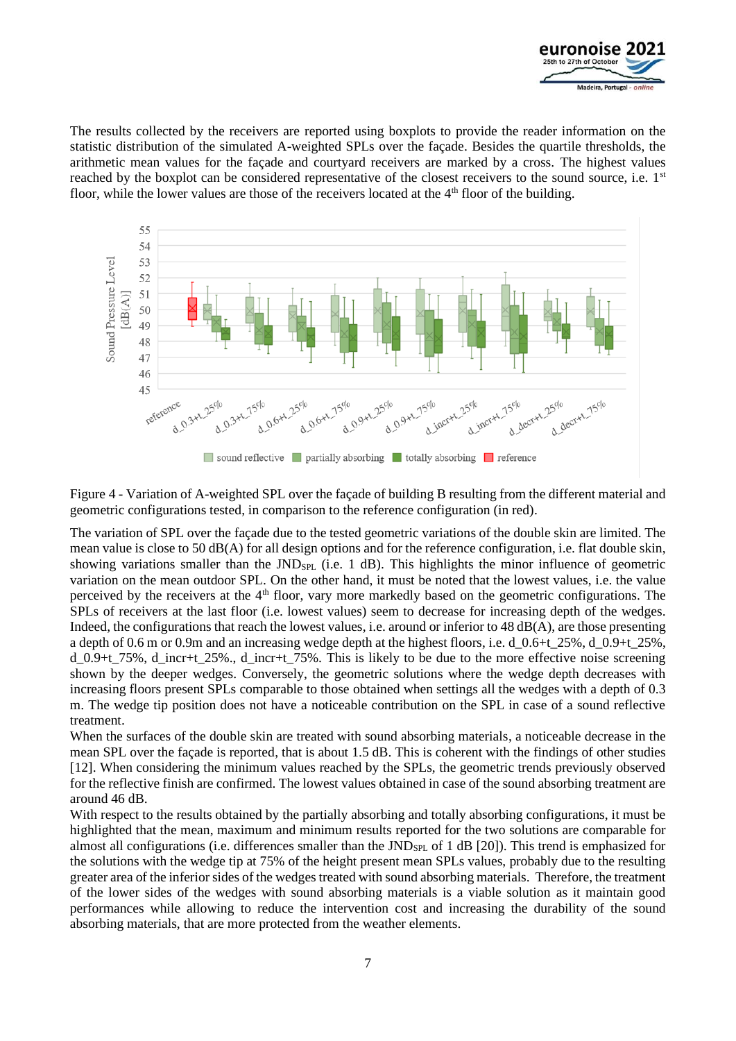

The results collected by the receivers are reported using boxplots to provide the reader information on the statistic distribution of the simulated A-weighted SPLs over the façade. Besides the quartile thresholds, the arithmetic mean values for the façade and courtyard receivers are marked by a cross. The highest values reached by the boxplot can be considered representative of the closest receivers to the sound source, i.e. 1<sup>st</sup> floor, while the lower values are those of the receivers located at the 4<sup>th</sup> floor of the building.



Figure 4 - Variation of A-weighted SPL over the façade of building B resulting from the different material and geometric configurations tested, in comparison to the reference configuration (in red).

The variation of SPL over the façade due to the tested geometric variations of the double skin are limited. The mean value is close to 50 dB(A) for all design options and for the reference configuration, i.e. flat double skin, showing variations smaller than the  $JND_{SPL}$  (i.e. 1 dB). This highlights the minor influence of geometric variation on the mean outdoor SPL. On the other hand, it must be noted that the lowest values, i.e. the value perceived by the receivers at the 4<sup>th</sup> floor, vary more markedly based on the geometric configurations. The SPLs of receivers at the last floor (i.e. lowest values) seem to decrease for increasing depth of the wedges. Indeed, the configurations that reach the lowest values, i.e. around or inferior to 48 dB(A), are those presenting a depth of 0.6 m or 0.9m and an increasing wedge depth at the highest floors, i.e. d\_0.6+t\_25%, d\_0.9+t\_25%, d 0.9+t 75%, d\_incr+t 25%., d\_incr+t 75%. This is likely to be due to the more effective noise screening shown by the deeper wedges. Conversely, the geometric solutions where the wedge depth decreases with increasing floors present SPLs comparable to those obtained when settings all the wedges with a depth of 0.3 m. The wedge tip position does not have a noticeable contribution on the SPL in case of a sound reflective treatment.

When the surfaces of the double skin are treated with sound absorbing materials, a noticeable decrease in the mean SPL over the façade is reported, that is about 1.5 dB. This is coherent with the findings of other studies [12]. When considering the minimum values reached by the SPLs, the geometric trends previously observed for the reflective finish are confirmed. The lowest values obtained in case of the sound absorbing treatment are around 46 dB.

With respect to the results obtained by the partially absorbing and totally absorbing configurations, it must be highlighted that the mean, maximum and minimum results reported for the two solutions are comparable for almost all configurations (i.e. differences smaller than the JNDs<sub>PL</sub> of 1 dB [20]). This trend is emphasized for the solutions with the wedge tip at 75% of the height present mean SPLs values, probably due to the resulting greater area of the inferior sides of the wedges treated with sound absorbing materials. Therefore, the treatment of the lower sides of the wedges with sound absorbing materials is a viable solution as it maintain good performances while allowing to reduce the intervention cost and increasing the durability of the sound absorbing materials, that are more protected from the weather elements.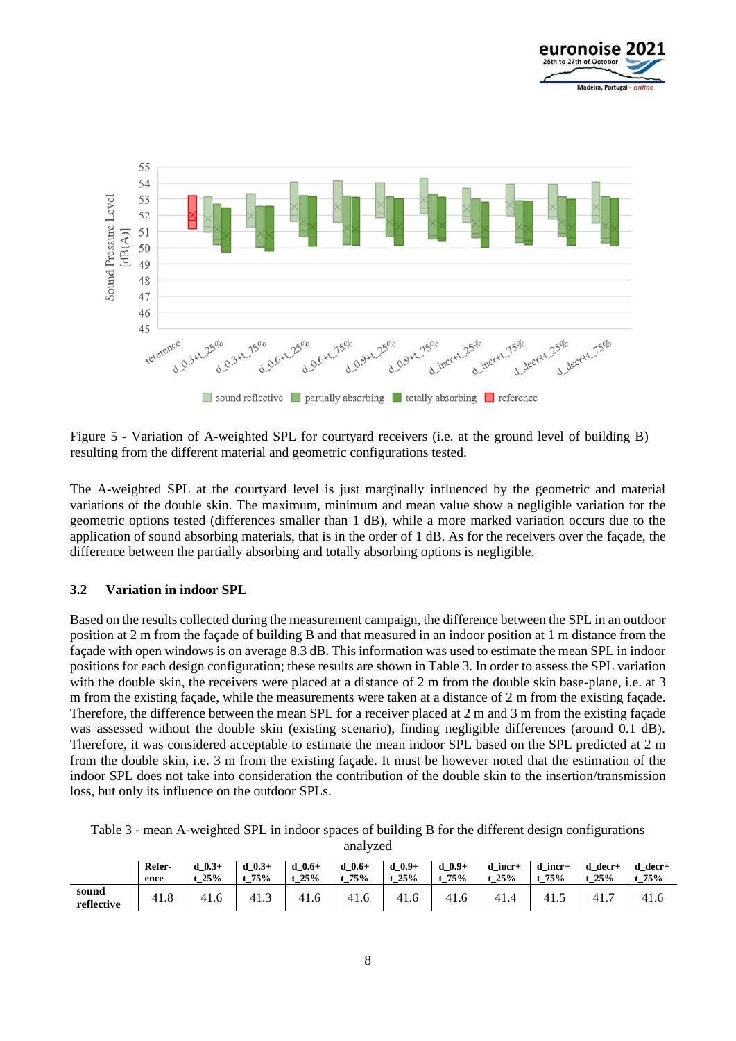



Figure 5 - Variation of A-weighted SPL for courtyard receivers (i.e. at the ground level of building B) resulting from the different material and geometric configurations tested.

The A-weighted SPL at the courtyard level is just marginally influenced by the geometric and material variations of the double skin. The maximum, minimum and mean value show a negligible variation for the geometric options tested (differences smaller than 1 dB), while a more marked variation occurs due to the application of sound absorbing materials, that is in the order of 1 dB. As for the receivers over the façade, the difference between the partially absorbing and totally absorbing options is negligible.

#### **3.2 Variation in indoor SPL**

Based on the results collected during the measurement campaign, the difference between the SPL in an outdoor position at 2 m from the façade of building B and that measured in an indoor position at 1 m distance from the façade with open windows is on average 8.3 dB. This information was used to estimate the mean SPL in indoor positions for each design configuration; these results are shown in Table 3. In order to assess the SPL variation with the double skin, the receivers were placed at a distance of 2 m from the double skin base-plane, i.e. at 3 m from the existing façade, while the measurements were taken at a distance of 2 m from the existing façade. Therefore, the difference between the mean SPL for a receiver placed at 2 m and 3 m from the existing façade was assessed without the double skin (existing scenario), finding negligible differences (around 0.1 dB). Therefore, it was considered acceptable to estimate the mean indoor SPL based on the SPL predicted at 2 m from the double skin, i.e. 3 m from the existing façade. It must be however noted that the estimation of the indoor SPL does not take into consideration the contribution of the double skin to the insertion/transmission loss, but only its influence on the outdoor SPLs.

analyzed

|                     | Refer-<br>ence | $0.3 +$<br>25% | $0.3+$<br>75% | $0.6 +$<br>d<br>25% | $d \ 0.6+$<br>75% | $d \ 0.9+$<br>25% | $0.9 +$<br>d<br>75% | incr+<br>d<br>25% | incr+<br>75% | decr+<br>d<br>25% | $d \text{ decr+}$<br>75% |
|---------------------|----------------|----------------|---------------|---------------------|-------------------|-------------------|---------------------|-------------------|--------------|-------------------|--------------------------|
| sound<br>reflective | 41.8           | 4<br>-1.0      | 41.           | 41.6                | 41.0              | 41<br>0.1.6       | 41.6                | 41.4              | 41.          | 41.7              | $-1.0$                   |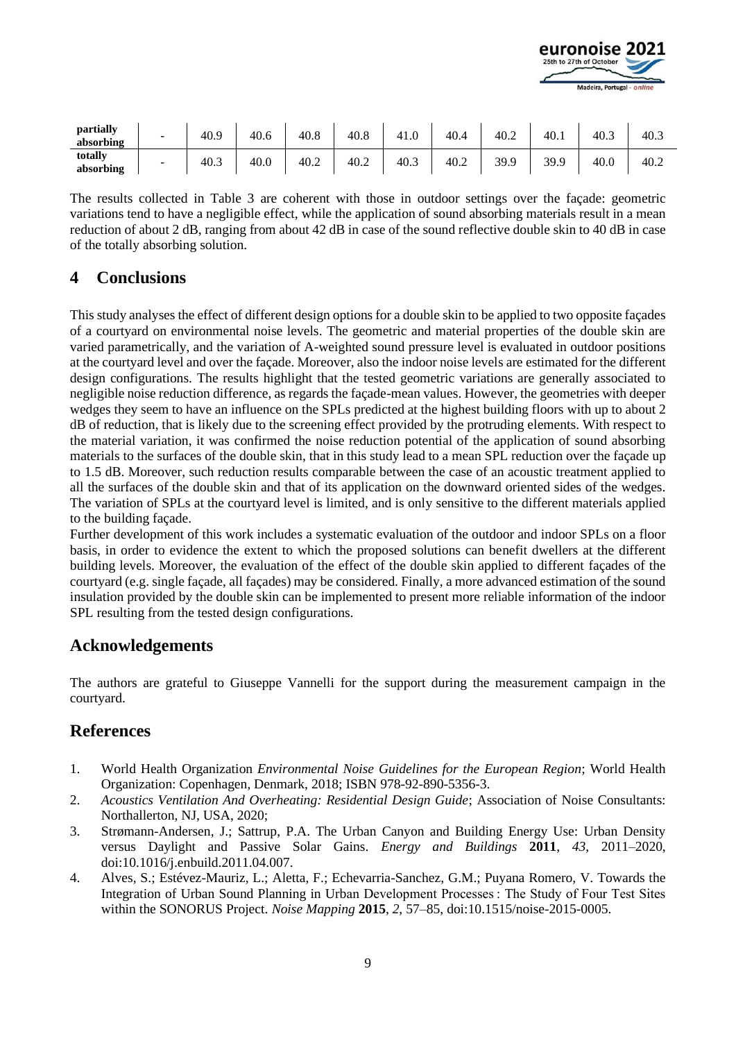

| partially<br>absorbing | -                        | 40.9 | 40.6 | 40.8 | 40.8 | 41.0 | 40.4 | 40.2 | 40.1 | 40.3 | 40.3 |
|------------------------|--------------------------|------|------|------|------|------|------|------|------|------|------|
| totally<br>absorbing   | $\overline{\phantom{0}}$ | 40.3 | 40.0 | 40.2 | 40.2 | 40.3 | 40.2 | 39.9 | 39.9 | 40.0 | 40.2 |

The results collected in Table 3 are coherent with those in outdoor settings over the façade: geometric variations tend to have a negligible effect, while the application of sound absorbing materials result in a mean reduction of about 2 dB, ranging from about 42 dB in case of the sound reflective double skin to 40 dB in case of the totally absorbing solution.

### **4 Conclusions**

This study analyses the effect of different design options for a double skin to be applied to two opposite façades of a courtyard on environmental noise levels. The geometric and material properties of the double skin are varied parametrically, and the variation of A-weighted sound pressure level is evaluated in outdoor positions at the courtyard level and over the façade. Moreover, also the indoor noise levels are estimated for the different design configurations. The results highlight that the tested geometric variations are generally associated to negligible noise reduction difference, as regards the façade-mean values. However, the geometries with deeper wedges they seem to have an influence on the SPLs predicted at the highest building floors with up to about 2 dB of reduction, that is likely due to the screening effect provided by the protruding elements. With respect to the material variation, it was confirmed the noise reduction potential of the application of sound absorbing materials to the surfaces of the double skin, that in this study lead to a mean SPL reduction over the façade up to 1.5 dB. Moreover, such reduction results comparable between the case of an acoustic treatment applied to all the surfaces of the double skin and that of its application on the downward oriented sides of the wedges. The variation of SPLs at the courtyard level is limited, and is only sensitive to the different materials applied to the building façade.

Further development of this work includes a systematic evaluation of the outdoor and indoor SPLs on a floor basis, in order to evidence the extent to which the proposed solutions can benefit dwellers at the different building levels. Moreover, the evaluation of the effect of the double skin applied to different façades of the courtyard (e.g. single façade, all façades) may be considered. Finally, a more advanced estimation of the sound insulation provided by the double skin can be implemented to present more reliable information of the indoor SPL resulting from the tested design configurations.

## **Acknowledgements**

The authors are grateful to Giuseppe Vannelli for the support during the measurement campaign in the courtyard.

# **References**

- 1. World Health Organization *Environmental Noise Guidelines for the European Region*; World Health Organization: Copenhagen, Denmark, 2018; ISBN 978-92-890-5356-3.
- 2. *Acoustics Ventilation And Overheating: Residential Design Guide*; Association of Noise Consultants: Northallerton, NJ, USA, 2020;
- 3. Strømann-Andersen, J.; Sattrup, P.A. The Urban Canyon and Building Energy Use: Urban Density versus Daylight and Passive Solar Gains. *Energy and Buildings* **2011**, *43*, 2011–2020, doi:10.1016/j.enbuild.2011.04.007.
- 4. Alves, S.; Estévez-Mauriz, L.; Aletta, F.; Echevarria-Sanchez, G.M.; Puyana Romero, V. Towards the Integration of Urban Sound Planning in Urban Development Processes : The Study of Four Test Sites within the SONORUS Project. *Noise Mapping* **2015**, *2*, 57–85, doi:10.1515/noise-2015-0005.